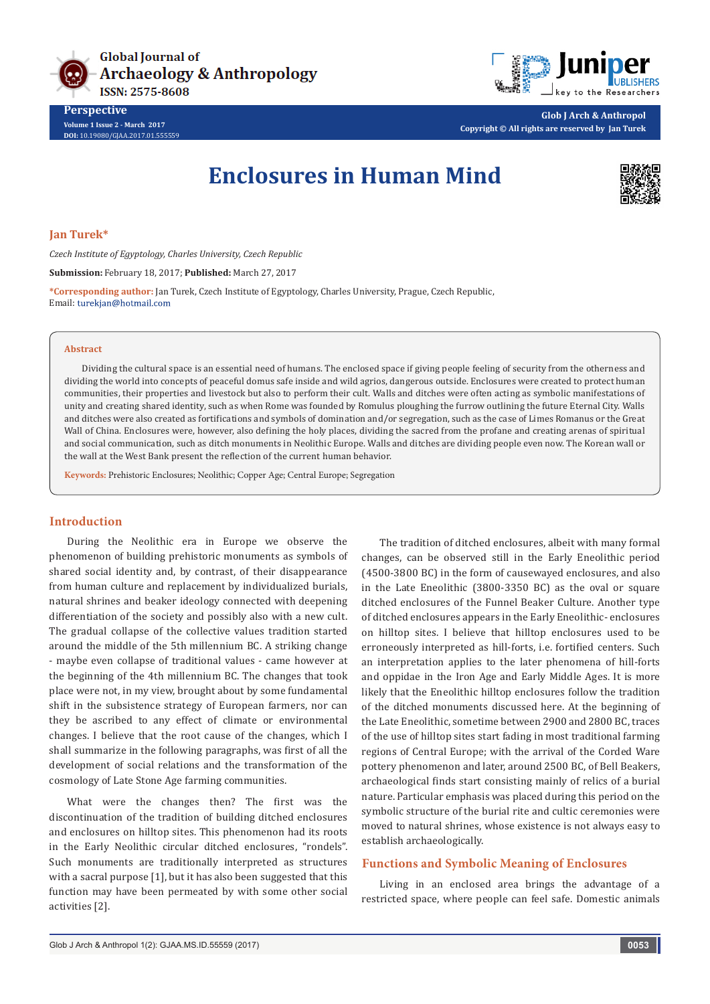



**Glob J Arch & Anthropol Copyright © All rights are reserved by Jan Turek**

# **Enclosures in Human Mind**



**Jan Turek\***

**Perspective Volume 1 Issue 2 - March 2017 DOI:** [10.19080/GJAA.2017.01.555559](http://dx.doi.org/10.19080/GJAA.2017.01.555559
)

*Czech Institute of Egyptology, Charles University, Czech Republic*

**Submission:** February 18, 2017; **Published:** March 27, 2017

**\*Corresponding author:** Jan Turek, Czech Institute of Egyptology, Charles University, Prague, Czech Republic, Email: turekjan@hotmail.com

#### **Abstract**

Dividing the cultural space is an essential need of humans. The enclosed space if giving people feeling of security from the otherness and dividing the world into concepts of peaceful domus safe inside and wild agrios, dangerous outside. Enclosures were created to protect human communities, their properties and livestock but also to perform their cult. Walls and ditches were often acting as symbolic manifestations of unity and creating shared identity, such as when Rome was founded by Romulus ploughing the furrow outlining the future Eternal City. Walls and ditches were also created as fortifications and symbols of domination and/or segregation, such as the case of Limes Romanus or the Great Wall of China. Enclosures were, however, also defining the holy places, dividing the sacred from the profane and creating arenas of spiritual and social communication, such as ditch monuments in Neolithic Europe. Walls and ditches are dividing people even now. The Korean wall or the wall at the West Bank present the reflection of the current human behavior.

**Keywords:** Prehistoric Enclosures; Neolithic; Copper Age; Central Europe; Segregation

#### **Introduction**

During the Neolithic era in Europe we observe the phenomenon of building prehistoric monuments as symbols of shared social identity and, by contrast, of their disappearance from human culture and replacement by individualized burials, natural shrines and beaker ideology connected with deepening differentiation of the society and possibly also with a new cult. The gradual collapse of the collective values tradition started around the middle of the 5th millennium BC. A striking change - maybe even collapse of traditional values - came however at the beginning of the 4th millennium BC. The changes that took place were not, in my view, brought about by some fundamental shift in the subsistence strategy of European farmers, nor can they be ascribed to any effect of climate or environmental changes. I believe that the root cause of the changes, which I shall summarize in the following paragraphs, was first of all the development of social relations and the transformation of the cosmology of Late Stone Age farming communities.

What were the changes then? The first was the discontinuation of the tradition of building ditched enclosures and enclosures on hilltop sites. This phenomenon had its roots in the Early Neolithic circular ditched enclosures, "rondels". Such monuments are traditionally interpreted as structures with a sacral purpose [1], but it has also been suggested that this function may have been permeated by with some other social activities [2].

The tradition of ditched enclosures, albeit with many formal changes, can be observed still in the Early Eneolithic period (4500-3800 BC) in the form of causewayed enclosures, and also in the Late Eneolithic (3800-3350 BC) as the oval or square ditched enclosures of the Funnel Beaker Culture. Another type of ditched enclosures appears in the Early Eneolithic- enclosures on hilltop sites. I believe that hilltop enclosures used to be erroneously interpreted as hill-forts, i.e. fortified centers. Such an interpretation applies to the later phenomena of hill-forts and oppidae in the Iron Age and Early Middle Ages. It is more likely that the Eneolithic hilltop enclosures follow the tradition of the ditched monuments discussed here. At the beginning of the Late Eneolithic, sometime between 2900 and 2800 BC, traces of the use of hilltop sites start fading in most traditional farming regions of Central Europe; with the arrival of the Corded Ware pottery phenomenon and later, around 2500 BC, of Bell Beakers, archaeological finds start consisting mainly of relics of a burial nature. Particular emphasis was placed during this period on the symbolic structure of the burial rite and cultic ceremonies were moved to natural shrines, whose existence is not always easy to establish archaeologically.

## **Functions and Symbolic Meaning of Enclosures**

Living in an enclosed area brings the advantage of a restricted space, where people can feel safe. Domestic animals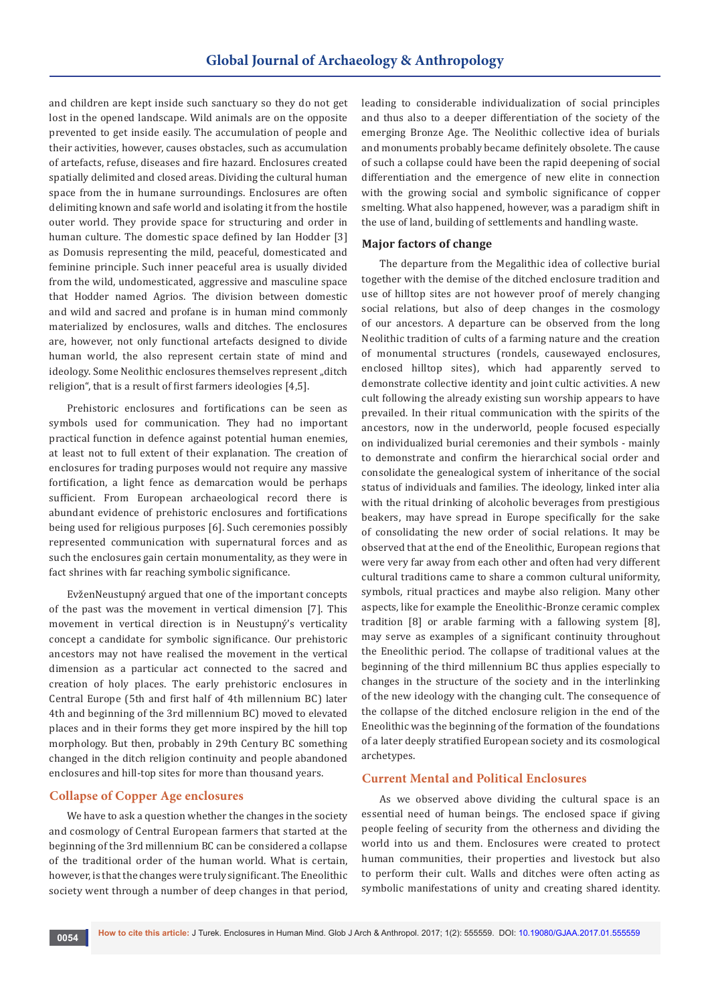and children are kept inside such sanctuary so they do not get lost in the opened landscape. Wild animals are on the opposite prevented to get inside easily. The accumulation of people and their activities, however, causes obstacles, such as accumulation of artefacts, refuse, diseases and fire hazard. Enclosures created spatially delimited and closed areas. Dividing the cultural human space from the in humane surroundings. Enclosures are often delimiting known and safe world and isolating it from the hostile outer world. They provide space for structuring and order in human culture. The domestic space defined by Ian Hodder [3] as Domusis representing the mild, peaceful, domesticated and feminine principle. Such inner peaceful area is usually divided from the wild, undomesticated, aggressive and masculine space that Hodder named Agrios. The division between domestic and wild and sacred and profane is in human mind commonly materialized by enclosures, walls and ditches. The enclosures are, however, not only functional artefacts designed to divide human world, the also represent certain state of mind and ideology. Some Neolithic enclosures themselves represent "ditch religion", that is a result of first farmers ideologies [4,5].

Prehistoric enclosures and fortifications can be seen as symbols used for communication. They had no important practical function in defence against potential human enemies, at least not to full extent of their explanation. The creation of enclosures for trading purposes would not require any massive fortification, a light fence as demarcation would be perhaps sufficient. From European archaeological record there is abundant evidence of prehistoric enclosures and fortifications being used for religious purposes [6]. Such ceremonies possibly represented communication with supernatural forces and as such the enclosures gain certain monumentality, as they were in fact shrines with far reaching symbolic significance.

EvženNeustupný argued that one of the important concepts of the past was the movement in vertical dimension [7]. This movement in vertical direction is in Neustupný's verticality concept a candidate for symbolic significance. Our prehistoric ancestors may not have realised the movement in the vertical dimension as a particular act connected to the sacred and creation of holy places. The early prehistoric enclosures in Central Europe (5th and first half of 4th millennium BC) later 4th and beginning of the 3rd millennium BC) moved to elevated places and in their forms they get more inspired by the hill top morphology. But then, probably in 29th Century BC something changed in the ditch religion continuity and people abandoned enclosures and hill-top sites for more than thousand years.

# **Collapse of Copper Age enclosures**

We have to ask a question whether the changes in the society and cosmology of Central European farmers that started at the beginning of the 3rd millennium BC can be considered a collapse of the traditional order of the human world. What is certain, however, is that the changes were truly significant. The Eneolithic society went through a number of deep changes in that period,

leading to considerable individualization of social principles and thus also to a deeper differentiation of the society of the emerging Bronze Age. The Neolithic collective idea of burials and monuments probably became definitely obsolete. The cause of such a collapse could have been the rapid deepening of social differentiation and the emergence of new elite in connection with the growing social and symbolic significance of copper smelting. What also happened, however, was a paradigm shift in the use of land, building of settlements and handling waste.

## **Major factors of change**

The departure from the Megalithic idea of collective burial together with the demise of the ditched enclosure tradition and use of hilltop sites are not however proof of merely changing social relations, but also of deep changes in the cosmology of our ancestors. A departure can be observed from the long Neolithic tradition of cults of a farming nature and the creation of monumental structures (rondels, causewayed enclosures, enclosed hilltop sites), which had apparently served to demonstrate collective identity and joint cultic activities. A new cult following the already existing sun worship appears to have prevailed. In their ritual communication with the spirits of the ancestors, now in the underworld, people focused especially on individualized burial ceremonies and their symbols - mainly to demonstrate and confirm the hierarchical social order and consolidate the genealogical system of inheritance of the social status of individuals and families. The ideology, linked inter alia with the ritual drinking of alcoholic beverages from prestigious beakers, may have spread in Europe specifically for the sake of consolidating the new order of social relations. It may be observed that at the end of the Eneolithic, European regions that were very far away from each other and often had very different cultural traditions came to share a common cultural uniformity, symbols, ritual practices and maybe also religion. Many other aspects, like for example the Eneolithic-Bronze ceramic complex tradition [8] or arable farming with a fallowing system [8], may serve as examples of a significant continuity throughout the Eneolithic period. The collapse of traditional values at the beginning of the third millennium BC thus applies especially to changes in the structure of the society and in the interlinking of the new ideology with the changing cult. The consequence of the collapse of the ditched enclosure religion in the end of the Eneolithic was the beginning of the formation of the foundations of a later deeply stratified European society and its cosmological archetypes.

# **Current Mental and Political Enclosures**

As we observed above dividing the cultural space is an essential need of human beings. The enclosed space if giving people feeling of security from the otherness and dividing the world into us and them. Enclosures were created to protect human communities, their properties and livestock but also to perform their cult. Walls and ditches were often acting as symbolic manifestations of unity and creating shared identity.